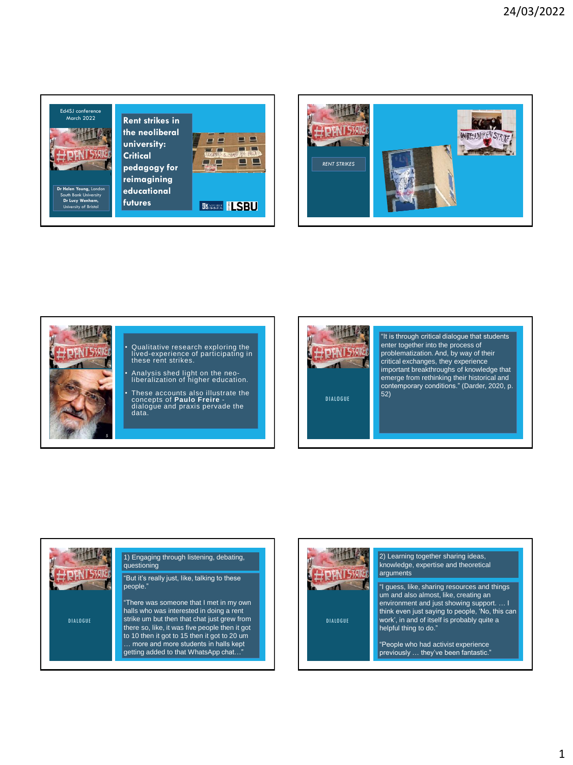





# • Qualitative research exploring the lived-experience of participating in these rent strikes.

- Analysis shed light on the neo-liberalization of higher education.
- These accounts also illustrate the concepts of **Paulo Freire**  dialogue and praxis pervade the data.



"It is through critical dialogue that students enter together into the process of problematization. And, by way of their critical exchanges, they experience important breakthroughs of knowledge that emerge from rethinking their historical and contemporary conditions." (Darder, 2020, p. 52)

DIALOGUE

## people." questioning

**DIALOGUE** 

## 1) Engaging through listening, debating,

"But it's really just, like, talking to these

"There was someone that I met in my own halls who was interested in doing a rent strike um but then that chat just grew from there so, like, it was five people then it got to 10 then it got to 15 then it got to 20 um … more and more students in halls kept getting added to that WhatsApp chat…"



**DIALOGUE** 

#### 2) Learning together sharing ideas, knowledge, expertise and theoretical arguments

"I guess, like, sharing resources and things um and also almost, like, creating an environment and just showing support. … I think even just saying to people, 'No, this can work', in and of itself is probably quite a helpful thing to do."

"People who had activist experience previously ... they've been fantastic.'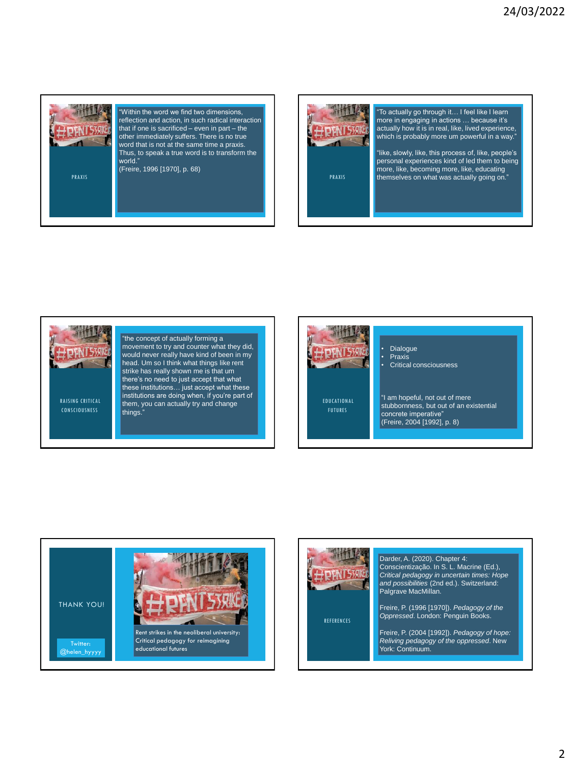



"To actually go through it… I feel like I learn more in engaging in actions … because it's actually how it is in real, like, lived experience, which is probably more um powerful in a way."

"like, slowly, like, this process of, like, people's personal experiences kind of led them to being more, like, becoming more, like, educating<br>"
themselves on what was actually going on."

RAISING CRITICAL CONSCIOUSNESS "the concept of actually forming a movement to try and counter what they did, would never really have kind of been in my head. Um so I think what things like rent strike has really shown me is that um there's no need to just accept that what these institutions… just accept what these institutions are doing when, if you're part of them, you can actually try and change things."







REFERENCES

#### Darder, A. (2020). Chapter 4:

Conscientização. In S. L. Macrine (Ed.), *Critical pedagogy in uncertain times: Hope and possibilities* (2nd ed.). Switzerland: Palgrave MacMillan.

Freire, P. (1996 [1970]). *Pedagogy of the Oppressed*. London: Penguin Books.

Freire, P. (2004 [1992]). *Pedagogy of hope: Reliving pedagogy of the oppressed*. New York: Continuum.